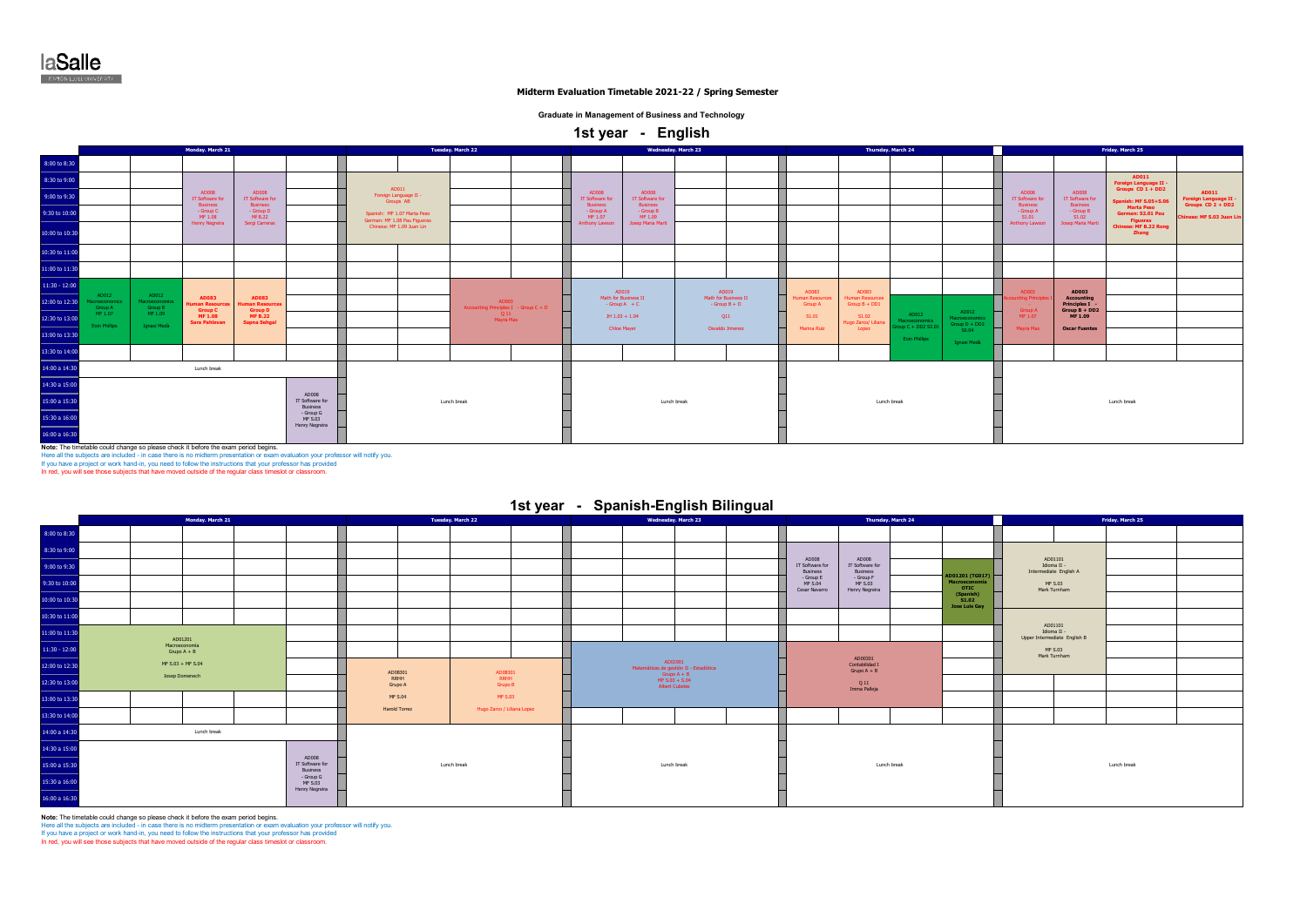laSalle **E RAMÓN LULLUINVERSITY** 

### **Midterm Evaluation Timetable 2021-22 / Spring Semester**

### **Graduate in Management of Business and Technology**

 **1st year - English** 

|                    | Monday. March 21                   |                                    |                                                |                                                |  |                                    |                                                             | Tuesday, March 22                              |                                         |                                                    | <b>Wednesday</b> . March 23            |                                         |                                           | Thursday. March 24                                    |                                                                                                                                                                           |                                          |                                     | Friday. March 25                       |                                |
|--------------------|------------------------------------|------------------------------------|------------------------------------------------|------------------------------------------------|--|------------------------------------|-------------------------------------------------------------|------------------------------------------------|-----------------------------------------|----------------------------------------------------|----------------------------------------|-----------------------------------------|-------------------------------------------|-------------------------------------------------------|---------------------------------------------------------------------------------------------------------------------------------------------------------------------------|------------------------------------------|-------------------------------------|----------------------------------------|--------------------------------|
| 8:00 to 8:30       |                                    |                                    |                                                |                                                |  |                                    |                                                             |                                                |                                         |                                                    |                                        |                                         |                                           |                                                       |                                                                                                                                                                           |                                          |                                     |                                        |                                |
| 8:30 to 9:00       |                                    |                                    |                                                |                                                |  |                                    |                                                             |                                                |                                         |                                                    |                                        |                                         |                                           |                                                       |                                                                                                                                                                           |                                          |                                     | AD011<br>Foreign Language II -         |                                |
| 9:00 to 9:30       |                                    |                                    | AD008<br>IT Software for                       | <b>AD008</b><br>IT Software for                |  | Foreign Language II -<br>Groups AB | AD011                                                       |                                                | <b>AD008</b><br>IT Software for         | <b>AD008</b><br>IT Software for<br><b>Business</b> |                                        |                                         |                                           |                                                       |                                                                                                                                                                           | AD008<br>IT Software for                 | AD008<br>IT Software for            | <b>Spanish: MF S.05+S.06</b>           | AD011<br>Foreign Language II - |
| 9:30 to 10:00      |                                    |                                    | <b>Business</b><br>- Group C<br>MF 1.08        | <b>Business</b><br>- Group D<br>Mf B.22        |  |                                    | Spanish: MF 1.07 Marta Peso<br>German: MF 1.08 Pau Figueras |                                                | <b>Business</b><br>- Group A<br>MF 1.07 | - Group B<br>MF 1.09                               |                                        |                                         |                                           |                                                       |                                                                                                                                                                           | <b>Business</b><br>- Group A<br>S1.01    | - Group B<br>S1.02                  | <b>Marta Peso</b><br>German: S2.01 Pau | Chinese: MF S.03 Juan Lin      |
| 10:00 to 10:30     |                                    |                                    | <b>Henry Negreira</b>                          | Sergi Carreras                                 |  | Chinese: MF 1.09 Juan Lin          |                                                             |                                                | Anthony Lawson<br>Josep Maria Marti     |                                                    |                                        |                                         |                                           |                                                       |                                                                                                                                                                           | Anthony Lawson                           |                                     | <b>Chinese: MF B.22 Rong</b><br>Zhang  |                                |
| 10:30 to 11:00     |                                    |                                    |                                                |                                                |  |                                    |                                                             |                                                |                                         |                                                    |                                        |                                         |                                           |                                                       |                                                                                                                                                                           |                                          |                                     |                                        |                                |
| 11:00 to 11:30     |                                    |                                    |                                                |                                                |  |                                    |                                                             |                                                |                                         |                                                    |                                        |                                         |                                           |                                                       |                                                                                                                                                                           |                                          |                                     |                                        |                                |
| $11:30 - 12:00$    |                                    |                                    |                                                |                                                |  |                                    |                                                             |                                                |                                         | AD019                                              | AD019                                  | AD083                                   | AD083                                     |                                                       |                                                                                                                                                                           | AD003                                    |                                     |                                        |                                |
| 12:00 to 12:30     | AD012<br>Macroeconomics<br>Group A | AD012<br>Macroeconomics<br>Group B | <b>AD083</b><br>man Resource<br><b>Group C</b> | <b>AD083</b><br>man Resource<br><b>Group D</b> |  |                                    |                                                             | AD003<br>Accounting Principles I - Group C + D |                                         | Math for Business II<br>$-Group A + C$             | Math for Business II<br>$-Group B + D$ | <b>Human Resource</b><br><b>Group A</b> | <b>Human Resources</b><br>$Group B + DD1$ |                                                       |                                                                                                                                                                           | <b>Inting Princ</b><br><b>Group A</b>    | <b>Accounting</b><br>Principles I - |                                        |                                |
| 12:30 to 13:00<br> | MF 1.07<br>Eoin Phillips           | MF 1.09<br>Ignasi Medà             | MF 1.08<br><b>Sara Pahlevan</b>                | <b>MF B.22</b><br><b>Sapna Sehgal</b>          |  |                                    |                                                             | Q11<br>Mayra Mas                               |                                         | $JH$ 1.03 + 1.04                                   | Q11                                    | S1.01                                   | S1.02<br>Hugo Zarco/ Liliana              | AD012<br>Macroeconomics<br>$k$ roup $C + DD2$ $S2.01$ | AD012<br>Macroeconomics<br>Group D + DD2                                                                                                                                  | ⊣<br>MF 1.07<br>$\overline{\phantom{0}}$ | MF 1.09                             |                                        |                                |
| 13:00 to 13:30     |                                    |                                    |                                                |                                                |  |                                    |                                                             |                                                |                                         | Chloe Mayer                                        | Osvaldo Jimenez                        | Marina Ruiz                             | Lopez                                     | Eoin Phillips                                         | S0.04<br>Ignasi Medà                                                                                                                                                      | Mayra Mas                                |                                     |                                        |                                |
| 13:30 to 14:00     |                                    |                                    |                                                |                                                |  |                                    |                                                             |                                                |                                         |                                                    |                                        |                                         |                                           |                                                       |                                                                                                                                                                           |                                          |                                     |                                        |                                |
| 14:00 a 14:30      | Lunch break                        |                                    |                                                |                                                |  |                                    |                                                             |                                                |                                         |                                                    |                                        |                                         |                                           |                                                       | Groups $CD_1 + DD_2$<br>Groups $CD$ 2 + DD2<br><b>Business</b><br><b>Figueras</b><br>Josep Maria Marti<br>AD003<br>$Group B + DD2$<br><b>Oscar Fuentes</b><br>Lunch break |                                          |                                     |                                        |                                |
| 14:30 a 15:00      |                                    |                                    |                                                |                                                |  |                                    |                                                             |                                                |                                         |                                                    |                                        |                                         |                                           |                                                       |                                                                                                                                                                           |                                          |                                     |                                        |                                |
| 15:00 a 15:30<br>  |                                    |                                    |                                                | AD008<br>IT Software for<br><b>Business</b>    |  |                                    | Lunch break                                                 |                                                |                                         | Lunch break                                        |                                        | Lunch break                             |                                           |                                                       |                                                                                                                                                                           |                                          |                                     |                                        |                                |
| 15:30 a 16:00      |                                    |                                    | - Group G<br>MF S.03<br>Henry Negreira         |                                                |  |                                    |                                                             |                                                |                                         |                                                    |                                        |                                         |                                           |                                                       |                                                                                                                                                                           |                                          |                                     |                                        |                                |
| 16:00 a 16:30      |                                    |                                    |                                                |                                                |  |                                    |                                                             |                                                |                                         |                                                    |                                        |                                         |                                           |                                                       |                                                                                                                                                                           |                                          |                                     |                                        |                                |

**Note:** The timetable could change so please check it before the exam period begins.<br>Here all the subjects are included - in case there is no midterm presentation or exam evaluation your professor will notify you.<br>If you h

## **1st year - Spanish-English Bilingual**

|                 | Monday, March 21               |                   |                                        |  |                 | Tuesday, March 22         |                            |  |             | Wednesday, March 23 |                                                                   |  |                                             | Thursday, March 24                                      |  |                                                        |                         | Friday, March 25                                 |  |  |
|-----------------|--------------------------------|-------------------|----------------------------------------|--|-----------------|---------------------------|----------------------------|--|-------------|---------------------|-------------------------------------------------------------------|--|---------------------------------------------|---------------------------------------------------------|--|--------------------------------------------------------|-------------------------|--------------------------------------------------|--|--|
| 8:00 to 8:30    |                                |                   |                                        |  |                 |                           |                            |  |             |                     |                                                                   |  |                                             |                                                         |  |                                                        |                         |                                                  |  |  |
| 8:30 to 9:00    |                                |                   |                                        |  |                 |                           |                            |  |             |                     |                                                                   |  |                                             |                                                         |  |                                                        |                         |                                                  |  |  |
| 9:00 to 9:30    |                                |                   |                                        |  |                 |                           |                            |  |             |                     |                                                                   |  | AD008<br>IT Software for<br><b>Business</b> | AD008<br>IT Software for<br><b>Business</b>             |  |                                                        |                         | AD01101<br>Idioma II -<br>Intermediate English A |  |  |
| 9:30 to 10:00   |                                |                   |                                        |  |                 |                           |                            |  |             |                     |                                                                   |  | - Group E<br><b>MF S.04</b>                 | - Group F<br>MF S.03<br>Cesar Navarro<br>Henry Negreira |  | AD01201 (TG017)<br>Macroeconomía<br><b>OTIC</b>        | MF S.03<br>Mark Turnham |                                                  |  |  |
| 10:00 to 10:30  |                                |                   |                                        |  |                 |                           |                            |  |             |                     |                                                                   |  |                                             |                                                         |  | $(Spanish)$<br>$S1.02$<br><b>Jose Luis Gay</b>         |                         |                                                  |  |  |
| 10:30 to 11:00  |                                |                   |                                        |  |                 |                           |                            |  |             |                     |                                                                   |  |                                             |                                                         |  |                                                        |                         |                                                  |  |  |
| 11:00 to 11:30  |                                | AD01201           |                                        |  |                 |                           |                            |  |             |                     |                                                                   |  |                                             |                                                         |  | AD01101<br>Idioma II -<br>Upper Intermediate English B |                         |                                                  |  |  |
| $11:30 - 12:00$ | Macroeconomía<br>Grupo $A + B$ |                   |                                        |  |                 |                           |                            |  |             |                     | AD00301                                                           |  |                                             | MF S.03<br>Mark Turnham                                 |  |                                                        |                         |                                                  |  |  |
| 12:00 to 12:30  |                                | MF S.03 + MF S.04 |                                        |  | AD08301         |                           | AD08301                    |  |             |                     | AD01901<br>Matemáticas de gestión II - Estadística<br>Grupo A + B |  | Contabilidad I<br>Grupo $A + B$             |                                                         |  |                                                        |                         |                                                  |  |  |
| 12:30 to 13:00  |                                | Josep Domenech    |                                        |  | RRHH<br>Grupo A |                           | RRHH<br>Grupo B            |  |             |                     | $MF S.03 + S.04$<br><b>Albert Cubeles</b>                         |  | Q11<br>Imma Palleja                         |                                                         |  |                                                        |                         |                                                  |  |  |
| 13:00 to 13:30  |                                |                   |                                        |  |                 | MF S.04<br><b>MF S.03</b> |                            |  |             |                     |                                                                   |  |                                             |                                                         |  |                                                        |                         |                                                  |  |  |
| 13:30 to 14:00  |                                |                   |                                        |  | Harold Torrez   |                           | Hugo Zarco / Liliana Lopez |  |             |                     |                                                                   |  |                                             |                                                         |  |                                                        |                         |                                                  |  |  |
| 14:00 a 14:30   | Lunch break                    |                   |                                        |  |                 |                           |                            |  |             |                     |                                                                   |  |                                             |                                                         |  |                                                        |                         |                                                  |  |  |
| 14:30 a 15:00   |                                |                   |                                        |  |                 |                           |                            |  |             |                     |                                                                   |  |                                             |                                                         |  |                                                        |                         |                                                  |  |  |
| 15:00 a 15:30   |                                |                   | AD008<br>IT Software for<br>Business   |  |                 | Lunch break               |                            |  | Lunch break |                     |                                                                   |  |                                             | Lunch break                                             |  |                                                        |                         | Lunch break                                      |  |  |
| 15:30 a 16:00   |                                |                   | - Group G<br>MF S.03<br>Henry Negreira |  |                 |                           |                            |  |             |                     |                                                                   |  |                                             |                                                         |  |                                                        |                         |                                                  |  |  |
| 16:00 a 16:30   |                                |                   |                                        |  |                 |                           |                            |  |             |                     |                                                                   |  |                                             |                                                         |  |                                                        |                         |                                                  |  |  |

**Note:** The timetable could change so please check it before the exam period begins.<br>Here all the subjects are included - in case there is no midterm presentation or exam evaluation your professor will notify you.<br>If you h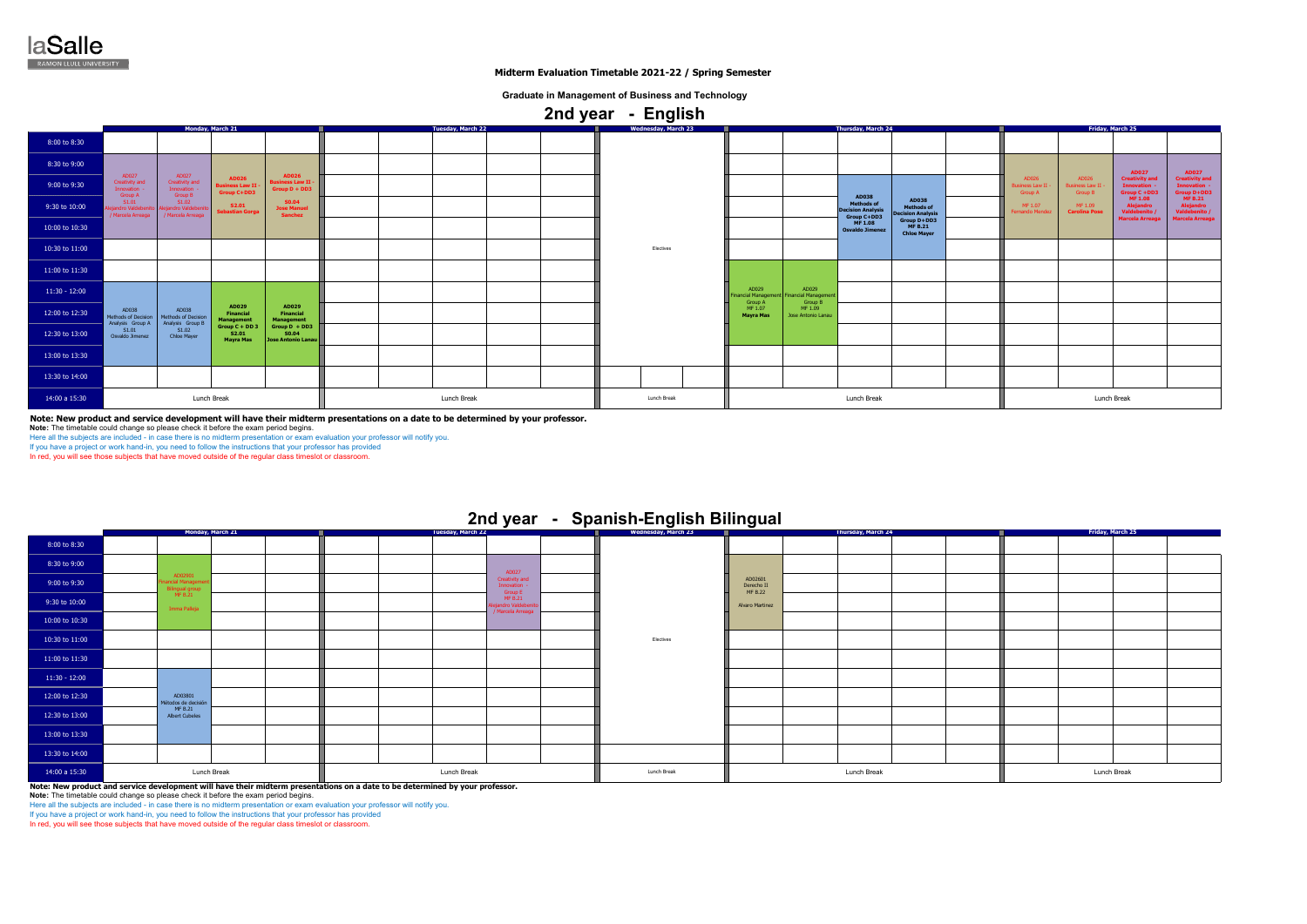**Note: New product and service development will have their midterm presentations on a date to be determined by your professor.**

**Note:** The timetable could change so please check it before the exam period begins.

Here all the subjects are included - in case there is no midterm presentation or exam evaluation your professor will notify you.

If you have a project or work hand-in, you need to follow the instructions that your professor has provided

In red, you will see those subjects that have moved outside of the regular class timeslot or classroom.

**Note: New product and service development will have their midterm presentations on a date to be determined by your professor.**

**Note:** The timetable could change so please check it before the exam period begins.

Here all the subjects are included - in case there is no midterm presentation or exam evaluation your professor will notify you.

If you have a project or work hand-in, you need to follow the instructions that your professor has provided

In red, you will see those subjects that have moved outside of the regular class timeslot or classro

| Friday, March 25 |  |             |  |  |  |  |  |  |  |  |  |  |
|------------------|--|-------------|--|--|--|--|--|--|--|--|--|--|
|                  |  |             |  |  |  |  |  |  |  |  |  |  |
|                  |  |             |  |  |  |  |  |  |  |  |  |  |
|                  |  |             |  |  |  |  |  |  |  |  |  |  |
|                  |  |             |  |  |  |  |  |  |  |  |  |  |
|                  |  |             |  |  |  |  |  |  |  |  |  |  |
|                  |  |             |  |  |  |  |  |  |  |  |  |  |
|                  |  |             |  |  |  |  |  |  |  |  |  |  |
|                  |  |             |  |  |  |  |  |  |  |  |  |  |
|                  |  |             |  |  |  |  |  |  |  |  |  |  |
|                  |  |             |  |  |  |  |  |  |  |  |  |  |
|                  |  |             |  |  |  |  |  |  |  |  |  |  |
|                  |  |             |  |  |  |  |  |  |  |  |  |  |
|                  |  | Lunch Break |  |  |  |  |  |  |  |  |  |  |

|                 | Monday, March 21                                 |                                                                 |                                                              | Tuesday, March 22                                           |             |  | <b>Wednesday, March 23</b> |             | Thursday, March 24 |                                                                         |                                                      |                                                               | Friday, March 25 |                                                    |                                                   |                                                            |                                                           |
|-----------------|--------------------------------------------------|-----------------------------------------------------------------|--------------------------------------------------------------|-------------------------------------------------------------|-------------|--|----------------------------|-------------|--------------------|-------------------------------------------------------------------------|------------------------------------------------------|---------------------------------------------------------------|------------------|----------------------------------------------------|---------------------------------------------------|------------------------------------------------------------|-----------------------------------------------------------|
| 8:00 to 8:30    |                                                  |                                                                 |                                                              |                                                             |             |  |                            |             |                    |                                                                         |                                                      |                                                               |                  |                                                    |                                                   |                                                            |                                                           |
| 8:30 to 9:00    |                                                  |                                                                 |                                                              |                                                             |             |  |                            |             |                    |                                                                         |                                                      |                                                               |                  |                                                    |                                                   | <b>AD027</b>                                               | <b>AD027</b>                                              |
| 9:00 to 9:30    | AD027<br>Creativity and<br>Innovation<br>Group A | AD027<br>Creativity and<br>Innovation -                         | <b>AD026</b><br><b>Business Law II</b><br><b>Group C+DD3</b> | <b>AD026</b><br><b>Business Law II -</b><br>$Group D + DD3$ |             |  |                            |             |                    |                                                                         |                                                      |                                                               |                  | AD026<br>Business Law II $\cdot$<br><b>Group A</b> | AD026<br><b>Business Law II</b><br><b>Group B</b> | <b>Creativity and</b><br><b>Innovation</b><br>Group C +DD3 | <b>Creativity and</b><br>Innovation<br><b>Group D+DD3</b> |
| 9:30 to 10:00   | S1.01<br>andro Valdebe<br>Marcela Arreaga        | <b>Group B</b><br>S1.02<br>jandro Valdeber<br>/ Marcela Arreaga | <b>S2.01</b><br><b>Sebastian Gorga</b>                       | <b>SO.04</b><br><b>Jose Manuel</b><br><b>Sanchez</b>        |             |  |                            |             |                    |                                                                         | AD038<br>Methods of<br><b>Decision Analysis</b>      | <b>AD038</b><br><b>Methods of</b><br><b>Decision Analysis</b> |                  | MF 1.07<br>Fernando Mende:                         | MF 1.09<br><b>Carolina Pose</b>                   | MF 1.08<br>Alejandro<br>Valdebenito /                      | <b>MF B.21</b><br>Alejandro<br>/ Valdebenito              |
| 10:00 to 10:30  |                                                  |                                                                 |                                                              |                                                             |             |  |                            |             |                    |                                                                         | Group $C+DD3$<br>MF $1.08$<br><b>Osvaldo Jimenez</b> | Group D+DD3<br><b>MF B.21</b><br><b>Chloe Mayer</b>           |                  |                                                    |                                                   | <b>Marcela Arreaga</b>                                     | <b>Marcela Arreaga</b>                                    |
| 10:30 to 11:00  |                                                  |                                                                 |                                                              |                                                             |             |  |                            | Electives   |                    |                                                                         |                                                      |                                                               |                  |                                                    |                                                   |                                                            |                                                           |
| 11:00 to 11:30  |                                                  |                                                                 |                                                              |                                                             |             |  |                            |             |                    |                                                                         |                                                      |                                                               |                  |                                                    |                                                   |                                                            |                                                           |
| $11:30 - 12:00$ |                                                  |                                                                 |                                                              |                                                             |             |  |                            |             |                    | AD029<br>AD029<br>nancial Management Financial Managemen<br>Group B     |                                                      |                                                               |                  |                                                    |                                                   |                                                            |                                                           |
| 12:00 to 12:30  | AD038<br>Methods of Decision<br>Analysis Group A | AD038<br>Methods of Decision<br>Analysis Group B                | AD029<br>Financial<br><b>Management</b>                      | AD029<br>Financial<br>Management                            |             |  |                            |             |                    | Group A<br>MF 1.07<br>MF 1.09<br><b>Mayra Mas</b><br>Jose Antonio Lanau |                                                      |                                                               |                  |                                                    |                                                   |                                                            |                                                           |
| 12:30 to 13:00  | S1.01<br>Osvaldo Jimenez                         | S1.02<br>Chloe Mayer                                            | $Group C + DD$<br>S2.01<br><b>Mayra Mas</b>                  | Group $D + DD3$<br><b>S0.04</b><br>Jose Antonio Lanau       |             |  |                            |             |                    |                                                                         |                                                      |                                                               |                  |                                                    |                                                   |                                                            |                                                           |
| 13:00 to 13:30  |                                                  |                                                                 |                                                              |                                                             |             |  |                            |             |                    |                                                                         |                                                      |                                                               |                  |                                                    |                                                   |                                                            |                                                           |
| 13:30 to 14:00  |                                                  |                                                                 |                                                              |                                                             |             |  |                            |             |                    |                                                                         |                                                      |                                                               |                  |                                                    |                                                   |                                                            |                                                           |
| 14:00 a 15:30   | Lunch Break                                      |                                                                 |                                                              |                                                             | Lunch Break |  | Lunch Break                | Lunch Break |                    |                                                                         |                                                      | Lunch Break                                                   |                  |                                                    |                                                   |                                                            |                                                           |

 **2nd year - Spanish-English Bilingual** 

### 8:00 to 8:30 8:30 to 9:00 9:00 to 9:30 9:30 to 10:00 10:00 to 10:30 10:30 to 11:00 11:00 to 11:30 11:30 - 12:00 12:00 to 12:30 12:30 to 13:00 13:00 to 13:30 13:30 to 14:00 14:00 a 15:30 **Monday, March 21 Tuesday, March 22** Lunch Breakk Lunch Break Lunch Break Lunch Break Lunch Break Lunch Break Lunch Break Lunch Break Lunch Break Lunch Break Lunch Break Lunch Break Lunch Break Lunch Break Lunch Break Lunch Break Lunch Break Lunch Break Lunch Break Lunc AD027 Creativity and Innovation - Group E MF B.21 Alejandro Valdebenito / Marcela Arreaga AD02601 Derecho II MF B.22 Alvaro MartinezElectives AD02901 Financial Management Bilingual group MF B.21 ma Palle AD03801 Métodos de decisión MF B.21 Albert Cubeles **Wednesday, March 23 Friday, March 25 Thursday, March 24**



 **Midterm Evaluation Timetable 2021-22 / Spring Semester**

**Graduate in Management of Business and Technology**

# **2nd year - English**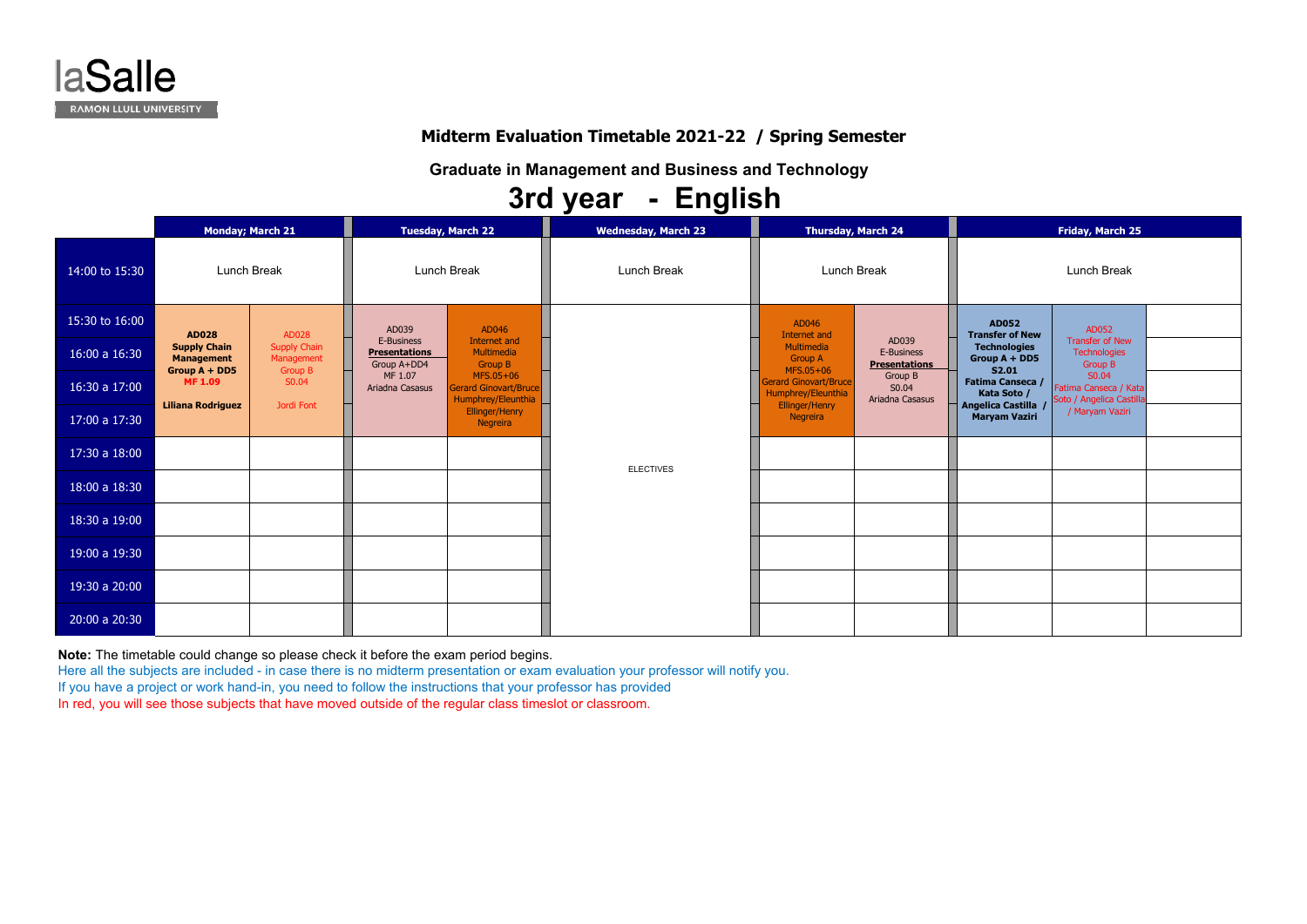**Note:** The timetable could change so please check it before the exam period begins.

Here all the subjects are included - in case there is no midterm presentation or exam evaluation your professor will notify you.

If you have a project or work hand-in, you need to follow the instructions that your professor has provided

In red, you will see those subjects that have moved outside of the regular class timeslot or classroom.

# Lunch Break **AD052Transfer of New Technologies Group A + DD5 S2.01Fatima Canseca / ka Soto** / **Angelica Castilla / Maryam Vaziri** AD052 Transfer of New **Technologies** Group B S0.04 Fatima Canseca / Kata Soto / Angelica Castilla / Maryam Vaziri



# **Midterm Evaluation Timetable 2021-22 / Spring Semester**

**Graduate in Management and Business and Technology**

|                | <b>Monday; March 21</b>                                                                    |                                   |                                                   | <b>Tuesday, March 22</b>                                                                                        | <b>Wednesday, March 23</b> |                                                                 | <b>Thursday, March 24</b>                   |                                                        | <b>Friday, March 25</b>                                  |  |  |
|----------------|--------------------------------------------------------------------------------------------|-----------------------------------|---------------------------------------------------|-----------------------------------------------------------------------------------------------------------------|----------------------------|-----------------------------------------------------------------|---------------------------------------------|--------------------------------------------------------|----------------------------------------------------------|--|--|
| 14:00 to 15:30 | <b>Lunch Break</b>                                                                         |                                   |                                                   | <b>Lunch Break</b>                                                                                              | Lunch Break                | <b>Lunch Break</b>                                              |                                             | Lunch Break                                            |                                                          |  |  |
| 15:30 to 16:00 |                                                                                            | AD028                             | AD039                                             | AD046                                                                                                           |                            | AD046<br>Internet and                                           |                                             | <b>AD052</b><br><b>Transfer of New</b>                 | AD052                                                    |  |  |
| 16:00 a 16:30  | <b>AD028</b><br><b>Supply Chain</b><br><b>Management</b><br>Group A + DD5<br><b>MF1.09</b> | <b>Supply Chain</b><br>Management | E-Business<br><b>Presentations</b><br>Group A+DD4 | Internet and<br>Multimedia<br><b>Group B</b><br>MFS.05+06<br><b>Gerard Ginovart/Bruce</b><br>Humphrey/Eleunthia |                            | Multimedia<br><b>Group A</b>                                    | AD039<br>E-Business<br><b>Presentations</b> | <b>Technologies</b><br><b>Group A + DD5</b>            | <b>Transfer of New</b><br><b>Technologies</b><br>Group B |  |  |
| 16:30 a 17:00  |                                                                                            | <b>Group B</b><br>S0.04           | MF 1.07<br>Ariadna Casasus                        |                                                                                                                 |                            | MFS.05+06<br><b>Gerard Ginovart/Bruce</b><br>Humphrey/Eleunthia | Group B<br>S0.04<br>Ariadna Casasus         | <b>S2.01</b><br><b>Fatima Canseca /</b><br>Kata Soto / | S0.04<br>Fatima Canseca / Kat<br>Soto / Angelica Castill |  |  |
| 17:00 a 17:30  | <b>Liliana Rodriguez</b>                                                                   | Jordi Font                        |                                                   | Ellinger/Henry<br>Negreira                                                                                      |                            | Ellinger/Henry<br>Negreira                                      |                                             | <b>Angelica Castilla</b><br><b>Maryam Vaziri</b>       | / Maryam Vaziri                                          |  |  |
| 17:30 a 18:00  |                                                                                            |                                   |                                                   |                                                                                                                 | <b>ELECTIVES</b>           |                                                                 |                                             |                                                        |                                                          |  |  |
| 18:00 a 18:30  |                                                                                            |                                   |                                                   |                                                                                                                 |                            |                                                                 |                                             |                                                        |                                                          |  |  |
| 18:30 a 19:00  |                                                                                            |                                   |                                                   |                                                                                                                 |                            |                                                                 |                                             |                                                        |                                                          |  |  |
| 19:00 a 19:30  |                                                                                            |                                   |                                                   |                                                                                                                 |                            |                                                                 |                                             |                                                        |                                                          |  |  |
| 19:30 a 20:00  |                                                                                            |                                   |                                                   |                                                                                                                 |                            |                                                                 |                                             |                                                        |                                                          |  |  |
| 20:00 a 20:30  |                                                                                            |                                   |                                                   |                                                                                                                 |                            |                                                                 |                                             |                                                        |                                                          |  |  |

# **3rd year - English**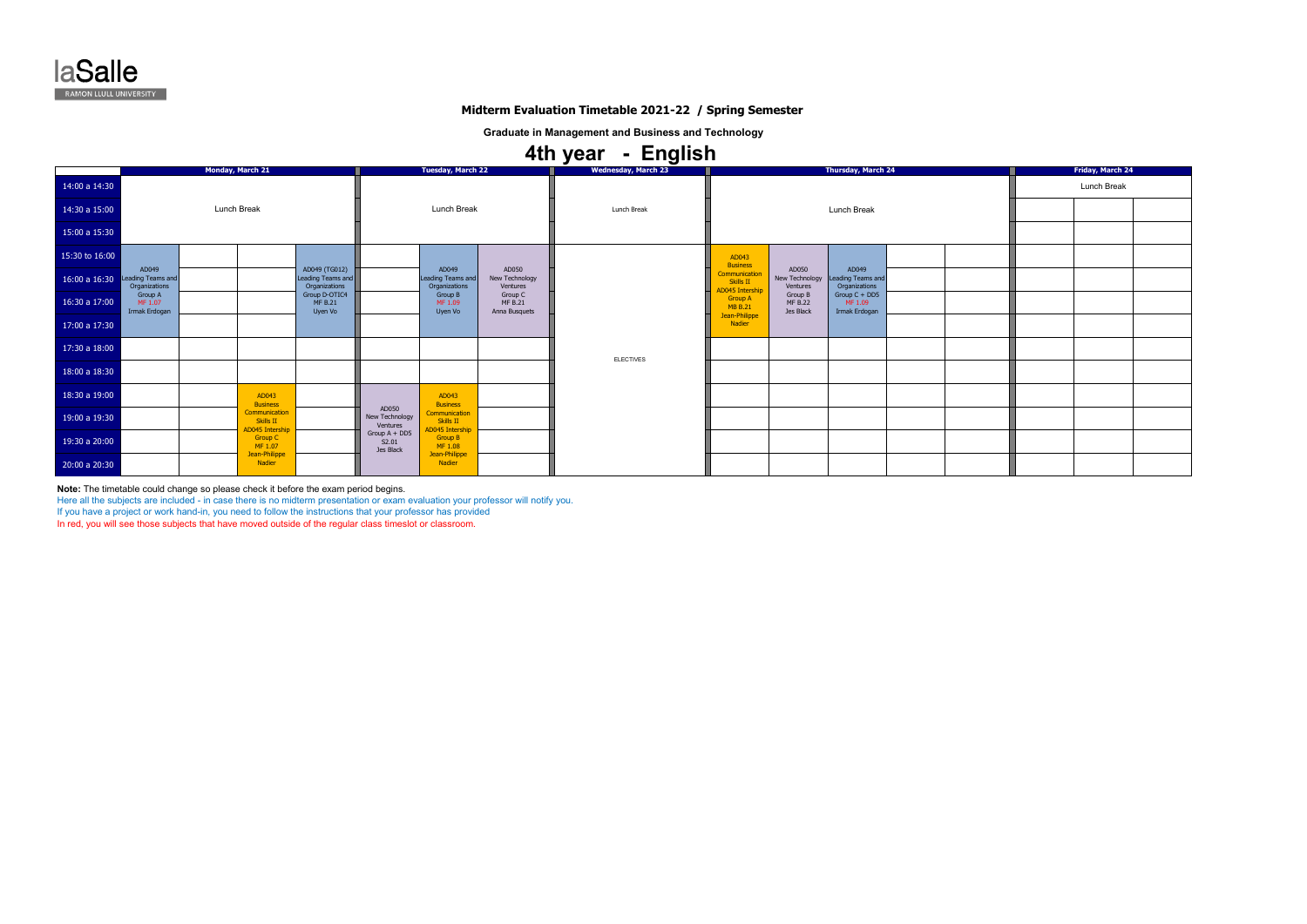**Note:** The timetable could change so please check it before the exam period begins.

Here all the subjects are included - in case there is no midterm presentation or exam evaluation your professor will notify you.

If you have a project or work hand-in, you need to follow the instructions that your professor has provided

In red, you will see those subjects that have moved outside of the regular class timeslot or classroom.

|                | <b>Monday, March 21</b>                     |                                                      | <b>Tuesday, March 22</b>                            |                                     |                                               | <b>Wednesday, March 23</b>                 |                  | <b>Thursday, March 24</b>                          | <b>Friday, March 24</b>                |                                             |  |  |
|----------------|---------------------------------------------|------------------------------------------------------|-----------------------------------------------------|-------------------------------------|-----------------------------------------------|--------------------------------------------|------------------|----------------------------------------------------|----------------------------------------|---------------------------------------------|--|--|
| 14:00 a 14:30  |                                             |                                                      |                                                     |                                     |                                               |                                            |                  |                                                    | Lunch Break                            |                                             |  |  |
| 14:30 a 15:00  | Lunch Break                                 |                                                      | Lunch Break                                         |                                     |                                               | Lunch Break                                |                  | Lunch Break                                        |                                        |                                             |  |  |
| 15:00 a 15:30  |                                             |                                                      |                                                     |                                     |                                               |                                            |                  |                                                    |                                        |                                             |  |  |
| 15:30 to 16:00 |                                             |                                                      |                                                     |                                     |                                               |                                            |                  | AD043<br><b>Business</b>                           |                                        |                                             |  |  |
| 16:00 a 16:30  | AD049<br>Leading Teams and<br>Organizations |                                                      | AD049 (TG012)<br>Leading Teams and<br>Organizations |                                     | AD049<br>Leading Teams and<br>Organizations   | AD050<br>New Technology<br>Ventures        |                  | ommunication<br><b>Skills II</b><br>D045 Intership | AD050<br>New Technology<br>Ventures    | AD049<br>Leading Teams and<br>Organizations |  |  |
| 16:30 a 17:00  | Group A<br>MF 1.07<br>Irmak Erdogan         |                                                      | Group D-OTIC4<br><b>MF B.21</b><br>Uyen Vo          |                                     | Group B<br>MF 1.09<br>Uyen Vo                 | Group C<br><b>MF B.21</b><br>Anna Busquets |                  | <b>Group A</b><br><b>MB B.21</b>                   | Group B<br><b>MF B.22</b><br>Jes Black | Group C + DD5<br>MF 1.09<br>Irmak Erdogan   |  |  |
| 17:00 a 17:30  |                                             |                                                      |                                                     |                                     |                                               |                                            |                  | Jean-Philippe<br>Nadier                            |                                        |                                             |  |  |
| 17:30 a 18:00  |                                             |                                                      |                                                     |                                     |                                               |                                            | <b>ELECTIVES</b> |                                                    |                                        |                                             |  |  |
| 18:00 a 18:30  |                                             |                                                      |                                                     |                                     |                                               |                                            |                  |                                                    |                                        |                                             |  |  |
| 18:30 a 19:00  |                                             | AD043<br><b>Business</b>                             |                                                     |                                     | AD043<br><b>Business</b>                      |                                            |                  |                                                    |                                        |                                             |  |  |
| 19:00 a 19:30  |                                             | Communication<br>Skills II<br><b>AD045 Intership</b> |                                                     | AD050<br>New Technology<br>Ventures | Communication<br>Skills II<br>AD045 Intershij |                                            |                  |                                                    |                                        |                                             |  |  |
| 19:30 a 20:00  |                                             | Group C<br>MF 1.07                                   |                                                     | Group A + DD5<br>S2.01<br>Jes Black | <b>Group B</b><br>MF 1.08                     |                                            |                  |                                                    |                                        |                                             |  |  |
| 20:00 a 20:30  |                                             | Jean-Philippe<br>Nadier                              |                                                     |                                     | Jean-Philippe<br>Nadier                       |                                            |                  |                                                    |                                        |                                             |  |  |

# **4th year - English**



# **Midterm Evaluation Timetable 2021-22 / Spring Semester**

**Graduate in Management and Business and Technology**

|  | Friday, March 24 |  |
|--|------------------|--|
|  | Lunch Break      |  |
|  |                  |  |
|  |                  |  |
|  |                  |  |
|  |                  |  |
|  |                  |  |
|  |                  |  |
|  |                  |  |
|  |                  |  |
|  |                  |  |
|  |                  |  |
|  |                  |  |
|  |                  |  |